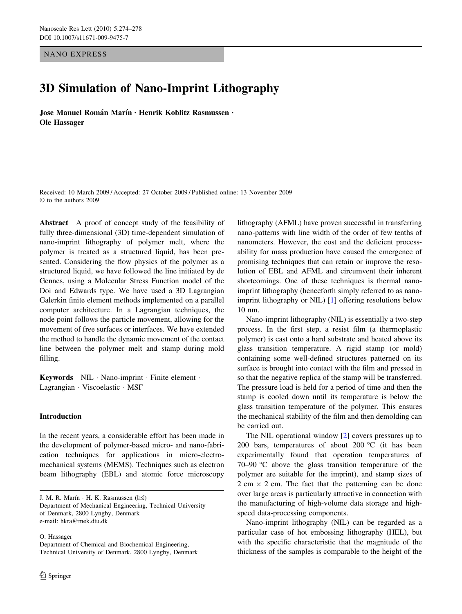NANO EXPRESS

# 3D Simulation of Nano-Imprint Lithography

Jose Manuel Román Marín • Henrik Koblitz Rasmussen • Ole Hassager

Received: 10 March 2009 / Accepted: 27 October 2009 / Published online: 13 November 2009  $©$  to the authors 2009

Abstract A proof of concept study of the feasibility of fully three-dimensional (3D) time-dependent simulation of nano-imprint lithography of polymer melt, where the polymer is treated as a structured liquid, has been presented. Considering the flow physics of the polymer as a structured liquid, we have followed the line initiated by de Gennes, using a Molecular Stress Function model of the Doi and Edwards type. We have used a 3D Lagrangian Galerkin finite element methods implemented on a parallel computer architecture. In a Lagrangian techniques, the node point follows the particle movement, allowing for the movement of free surfaces or interfaces. We have extended the method to handle the dynamic movement of the contact line between the polymer melt and stamp during mold filling.

Keywords  $NIL \cdot Nano-imprint \cdot Finite element \cdot$ Lagrangian · Viscoelastic · MSF

## Introduction

In the recent years, a considerable effort has been made in the development of polymer-based micro- and nano-fabrication techniques for applications in micro-electromechanical systems (MEMS). Techniques such as electron beam lithography (EBL) and atomic force microscopy

J. M. R. Marín  $\cdot$  H. K. Rasmussen ( $\boxtimes$ ) Department of Mechanical Engineering, Technical University of Denmark, 2800 Lyngby, Denmark e-mail: hkra@mek.dtu.dk

O. Hassager

Department of Chemical and Biochemical Engineering, Technical University of Denmark, 2800 Lyngby, Denmark lithography (AFML) have proven successful in transferring nano-patterns with line width of the order of few tenths of nanometers. However, the cost and the deficient processability for mass production have caused the emergence of promising techniques that can retain or improve the resolution of EBL and AFML and circumvent their inherent shortcomings. One of these techniques is thermal nanoimprint lithography (henceforth simply referred to as nanoimprint lithography or NIL) [[1\]](#page-4-0) offering resolutions below 10 nm.

Nano-imprint lithography (NIL) is essentially a two-step process. In the first step, a resist film (a thermoplastic polymer) is cast onto a hard substrate and heated above its glass transition temperature. A rigid stamp (or mold) containing some well-defined structures patterned on its surface is brought into contact with the film and pressed in so that the negative replica of the stamp will be transferred. The pressure load is held for a period of time and then the stamp is cooled down until its temperature is below the glass transition temperature of the polymer. This ensures the mechanical stability of the film and then demolding can be carried out.

The NIL operational window [[2\]](#page-4-0) covers pressures up to 200 bars, temperatures of about 200  $^{\circ}$ C (it has been experimentally found that operation temperatures of 70–90  $\degree$ C above the glass transition temperature of the polymer are suitable for the imprint), and stamp sizes of  $2 \text{ cm} \times 2 \text{ cm}$ . The fact that the patterning can be done over large areas is particularly attractive in connection with the manufacturing of high-volume data storage and highspeed data-processing components.

Nano-imprint lithography (NIL) can be regarded as a particular case of hot embossing lithography (HEL), but with the specific characteristic that the magnitude of the thickness of the samples is comparable to the height of the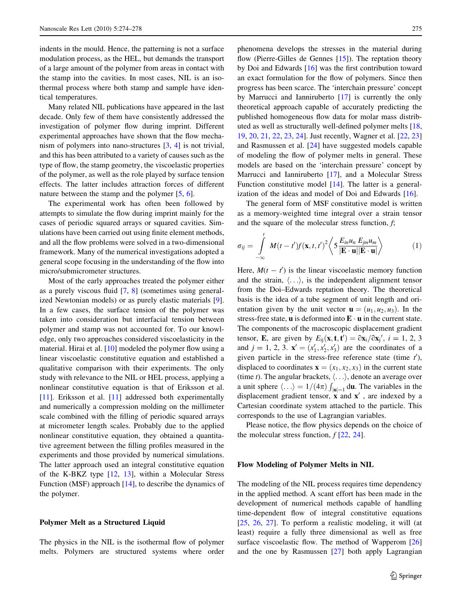indents in the mould. Hence, the patterning is not a surface modulation process, as the HEL, but demands the transport of a large amount of the polymer from areas in contact with the stamp into the cavities. In most cases, NIL is an isothermal process where both stamp and sample have identical temperatures.

Many related NIL publications have appeared in the last decade. Only few of them have consistently addressed the investigation of polymer flow during imprint. Different experimental approaches have shown that the flow mechanism of polymers into nano-structures [[3,](#page-4-0) [4\]](#page-4-0) is not trivial, and this has been attributed to a variety of causes such as the type of flow, the stamp geometry, the viscoelastic properties of the polymer, as well as the role played by surface tension effects. The latter includes attraction forces of different nature between the stamp and the polymer [[5,](#page-4-0) [6](#page-4-0)].

The experimental work has often been followed by attempts to simulate the flow during imprint mainly for the cases of periodic squared arrays or squared cavities. Simulations have been carried out using finite element methods, and all the flow problems were solved in a two-dimensional framework. Many of the numerical investigations adopted a general scope focusing in the understanding of the flow into micro/submicrometer structures.

Most of the early approaches treated the polymer either as a purely viscous fluid [[7,](#page-4-0) [8\]](#page-4-0) (sometimes using generalized Newtonian models) or as purely elastic materials [\[9](#page-4-0)]. In a few cases, the surface tension of the polymer was taken into consideration but interfacial tension between polymer and stamp was not accounted for. To our knowledge, only two approaches considered viscoelasticity in the material. Hirai et al. [[10\]](#page-4-0) modeled the polymer flow using a linear viscoelastic constitutive equation and established a qualitative comparison with their experiments. The only study with relevance to the NIL or HEL process, applying a nonlinear constitutive equation is that of Eriksson et al. [\[11](#page-4-0)]. Eriksson et al. [[11\]](#page-4-0) addressed both experimentally and numerically a compression molding on the millimeter scale combined with the filling of periodic squared arrays at micrometer length scales. Probably due to the applied nonlinear constitutive equation, they obtained a quantitative agreement between the filling profiles measured in the experiments and those provided by numerical simulations. The latter approach used an integral constitutive equation of the K-BKZ type [[12,](#page-4-0) [13](#page-4-0)], within a Molecular Stress Function (MSF) approach [[14\]](#page-4-0), to describe the dynamics of the polymer.

#### Polymer Melt as a Structured Liquid

The physics in the NIL is the isothermal flow of polymer melts. Polymers are structured systems where order phenomena develops the stresses in the material during flow (Pierre-Gilles de Gennes [[15\]](#page-4-0)). The reptation theory by Doi and Edwards [[16\]](#page-4-0) was the first contribution toward an exact formulation for the flow of polymers. Since then progress has been scarce. The 'interchain pressure' concept by Marrucci and Ianniruberto [\[17](#page-4-0)] is currently the only theoretical approach capable of accurately predicting the published homogeneous flow data for molar mass distributed as well as structurally well-defined polymer melts [[18,](#page-4-0) [19](#page-4-0), [20](#page-4-0), [21](#page-4-0), [22](#page-4-0), [23](#page-4-0), [24](#page-4-0)]. Just recently, Wagner et al. [[22,](#page-4-0) [23\]](#page-4-0) and Rasmussen et al. [\[24](#page-4-0)] have suggested models capable of modeling the flow of polymer melts in general. These models are based on the 'interchain pressure' concept by Marrucci and Ianniruberto [[17\]](#page-4-0), and a Molecular Stress Function constitutive model [[14\]](#page-4-0). The latter is a generalization of the ideas and model of Doi and Edwards [\[16](#page-4-0)].

The general form of MSF constitutive model is written as a memory-weighted time integral over a strain tensor and the square of the molecular stress function, f;

$$
\sigma_{ij} = \int\limits_{-\infty}^{t} M(t-t')f(\mathbf{x},t,t')^{2} \left\langle 5\frac{E_{in}u_{n} E_{jm}u_{m}}{|\mathbf{E}\cdot\mathbf{u}||\mathbf{E}\cdot\mathbf{u}|}\right\rangle \tag{1}
$$

Here,  $M(t - t')$  is the linear viscoelastic memory function and the strain,  $\langle \ldots \rangle$ , is the independent alignment tensor from the Doi–Edwards reptation theory. The theoretical basis is the idea of a tube segment of unit length and orientation given by the unit vector  $\mathbf{u} = (u_1, u_2, u_3)$ . In the stress-free state, **u** is deformed into  $\mathbf{E} \cdot \mathbf{u}$  in the current state. The components of the macroscopic displacement gradient tensor, E, are given by  $E_{ij}(\mathbf{x}, \mathbf{t}, \mathbf{t}') = \partial \mathbf{x}_i / \partial \mathbf{x}_j', i = 1, 2, 3$ and  $j = 1, 2, 3$ .  $\mathbf{x}' = (x'_1, x'_2, x'_3)$  are the coordinates of a given particle in the stress-free reference state (time  $t'$ ), displaced to coordinates  $\mathbf{x} = (x_1, x_2, x_3)$  in the current state (time *t*). The angular brackets,  $\langle \ldots \rangle$ , denote an average over a unit sphere  $\langle \ldots \rangle = 1/(4\pi) \int_{|\mathbf{u}|=1} d\mathbf{u}$ . The variables in the displacement gradient tensor,  $\bf{x}$  and  $\bf{x}'$ , are indexed by a Cartesian coordinate system attached to the particle. This corresponds to the use of Lagrangian variables.

Please notice, the flow physics depends on the choice of the molecular stress function,  $f$  [\[22](#page-4-0), [24](#page-4-0)].

#### Flow Modeling of Polymer Melts in NIL

The modeling of the NIL process requires time dependency in the applied method. A scant effort has been made in the development of numerical methods capable of handling time-dependent flow of integral constitutive equations [\[25](#page-4-0), [26](#page-4-0), [27\]](#page-4-0). To perform a realistic modeling, it will (at least) require a fully three dimensional as well as free surface viscoelastic flow. The method of Wapperom [[26\]](#page-4-0) and the one by Rasmussen [\[27](#page-4-0)] both apply Lagrangian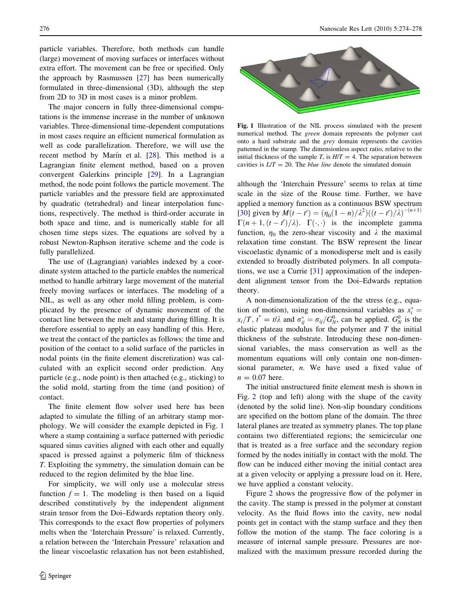particle variables. Therefore, both methods can handle (large) movement of moving surfaces or interfaces without extra effort. The movement can be free or specified. Only the approach by Rasmussen [[27\]](#page-4-0) has been numerically formulated in three-dimensional (3D), although the step from 2D to 3D in most cases is a minor problem.

The major concern in fully three-dimensional computations is the immense increase in the number of unknown variables. Three-dimensional time-dependent computations in most cases require an efficient numerical formulation as well as code parallelization. Therefore, we will use the recent method by Marín et al.  $[28]$  $[28]$ . This method is a Lagrangian finite element method, based on a proven convergent Galerkins principle [\[29](#page-4-0)]. In a Lagrangian method, the node point follows the particle movement. The particle variables and the pressure field are approximated by quadratic (tetrahedral) and linear interpolation functions, respectively. The method is third-order accurate in both space and time, and is numerically stable for all chosen time steps sizes. The equations are solved by a robust Newton-Raphson iterative scheme and the code is fully parallelized.

The use of (Lagrangian) variables indexed by a coordinate system attached to the particle enables the numerical method to handle arbitrary large movement of the material freely moving surfaces or interfaces. The modeling of a NIL, as well as any other mold filling problem, is complicated by the presence of dynamic movement of the contact line between the melt and stamp during filling. It is therefore essential to apply an easy handling of this. Here, we treat the contact of the particles as follows: the time and position of the contact to a solid surface of the particles in nodal points (in the finite element discretization) was calculated with an explicit second order prediction. Any particle (e.g., node point) is then attached (e.g., sticking) to the solid mold, starting from the time (and position) of contact.

The finite element flow solver used here has been adapted to simulate the filling of an arbitrary stamp morphology. We will consider the example depicted in Fig. 1 where a stamp containing a surface patterned with periodic squared sinus cavities aligned with each other and equally spaced is pressed against a polymeric film of thickness T. Exploiting the symmetry, the simulation domain can be reduced to the region delimited by the blue line.

For simplicity, we will only use a molecular stress function  $f = 1$ . The modeling is then based on a liquid described constitutively by the independent alignment strain tensor from the Doi–Edwards reptation theory only. This corresponds to the exact flow properties of polymers melts when the 'Interchain Pressure' is relaxed. Currently, a relation between the 'Interchain Pressure' relaxation and the linear viscoelastic relaxation has not been established,



Fig. 1 Illustration of the NIL process simulated with the present numerical method. The green domain represents the polymer cast onto a hard substrate and the grey domain represents the cavities patterned in the stamp. The dimensionless aspect ratio, relative to the initial thickness of the sample T, is  $H/T = 4$ . The separation between cavities is  $L/T = 20$ . The *blue line* denote the simulated domain

although the 'Interchain Pressure' seems to relax at time scale in the size of the Rouse time. Further, we have applied a memory function as a continuous BSW spectrum [\[30](#page-4-0)] given by  $M(t - t') = (\eta_0(1 - n)/\lambda^2)((t - t')/\lambda)^{-(n+1)}$  $\Gamma(n+1, (t-t')/\lambda)$ .  $\Gamma(\cdot, \cdot)$  is the incomplete gamma function,  $\eta_0$  the zero-shear viscosity and  $\lambda$  the maximal relaxation time constant. The BSW represent the linear viscoelastic dynamic of a monodisperse melt and is easily extended to broadly distributed polymers. In all computations, we use a Currie [\[31](#page-4-0)] approximation of the independent alignment tensor from the Doi–Edwards reptation theory.

A non-dimensionalization of the the stress (e.g., equation of motion), using non-dimensional variables as  $x_i^* =$  $x_i/T$ ,  $t^* = t/\lambda$  and  $\sigma_{ij}^* = \sigma_{ij}/G_N^0$ , can be applied.  $G_N^0$  is the elastic plateau modulus for the polymer and  $T$  the initial thickness of the substrate. Introducing these non-dimensional variables, the mass conservation as well as the momentum equations will only contain one non-dimensional parameter,  $n$ . We have used a fixed value of  $n = 0.07$  here.

The initial unstructured finite element mesh is shown in Fig. [2](#page-3-0) (top and left) along with the shape of the cavity (denoted by the solid line). Non-slip boundary conditions are specified on the bottom plane of the domain. The three lateral planes are treated as symmetry planes. The top plane contains two differentiated regions; the semicircular one that is treated as a free surface and the secondary region formed by the nodes initially in contact with the mold. The flow can be induced either moving the initial contact area at a given velocity or applying a pressure load on it. Here, we have applied a constant velocity.

Figure [2](#page-3-0) shows the progressive flow of the polymer in the cavity. The stamp is pressed in the polymer at constant velocity. As the fluid flows into the cavity, new nodal points get in contact with the stamp surface and they then follow the motion of the stamp. The face coloring is a measure of internal sample pressure. Pressures are normalized with the maximum pressure recorded during the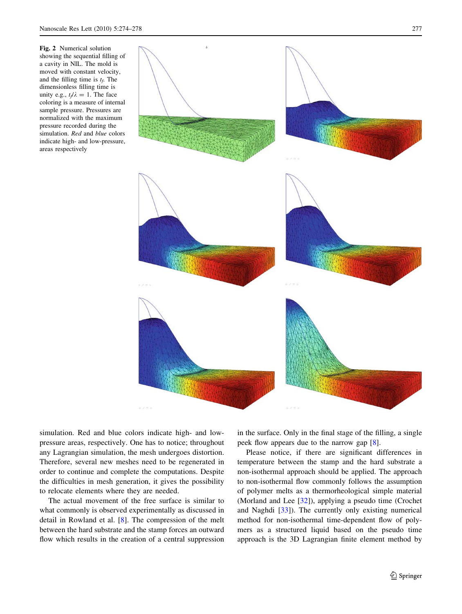<span id="page-3-0"></span>Fig. 2 Numerical solution showing the sequential filling of a cavity in NIL. The mold is moved with constant velocity, and the filling time is  $t_f$ . The dimensionless filling time is unity e.g.,  $t/d = 1$ . The face coloring is a measure of internal sample pressure. Pressures are normalized with the maximum pressure recorded during the simulation. Red and blue colors indicate high- and low-pressure, areas respectively



simulation. Red and blue colors indicate high- and lowpressure areas, respectively. One has to notice; throughout any Lagrangian simulation, the mesh undergoes distortion. Therefore, several new meshes need to be regenerated in order to continue and complete the computations. Despite the difficulties in mesh generation, it gives the possibility to relocate elements where they are needed.

The actual movement of the free surface is similar to what commonly is observed experimentally as discussed in detail in Rowland et al. [[8](#page-4-0)]. The compression of the melt between the hard substrate and the stamp forces an outward flow which results in the creation of a central suppression in the surface. Only in the final stage of the filling, a single peek flow appears due to the narrow gap [\[8](#page-4-0)].

Please notice, if there are significant differences in temperature between the stamp and the hard substrate a non-isothermal approach should be applied. The approach to non-isothermal flow commonly follows the assumption of polymer melts as a thermorheological simple material (Morland and Lee [\[32](#page-4-0)]), applying a pseudo time (Crochet and Naghdi [\[33](#page-4-0)]). The currently only existing numerical method for non-isothermal time-dependent flow of polymers as a structured liquid based on the pseudo time approach is the 3D Lagrangian finite element method by